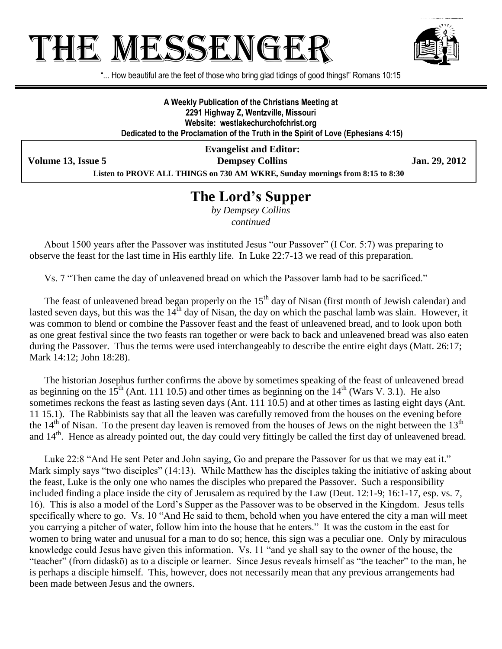# HE MESSENGE



"... How beautiful are the feet of those who bring glad tidings of good things!" Romans 10:15

**A Weekly Publication of the Christians Meeting at 2291 Highway Z, Wentzville, Missouri Website: westlakechurchofchrist.org Dedicated to the Proclamation of the Truth in the Spirit of Love (Ephesians 4:15)**

**Evangelist and Editor: Volume 13, Issue 5 Dempsey Collins Jan. 29, 2012 Listen to PROVE ALL THINGS on 730 AM WKRE, Sunday mornings from 8:15 to 8:30**

## **The Lord's Supper**

*by Dempsey Collins continued*

About 1500 years after the Passover was instituted Jesus "our Passover" (I Cor. 5:7) was preparing to observe the feast for the last time in His earthly life. In Luke 22:7-13 we read of this preparation.

Vs. 7 "Then came the day of unleavened bread on which the Passover lamb had to be sacrificed."

The feast of unleavened bread began properly on the 15<sup>th</sup> day of Nisan (first month of Jewish calendar) and lasted seven days, but this was the  $14<sup>th</sup>$  day of Nisan, the day on which the paschal lamb was slain. However, it was common to blend or combine the Passover feast and the feast of unleavened bread, and to look upon both as one great festival since the two feasts ran together or were back to back and unleavened bread was also eaten during the Passover. Thus the terms were used interchangeably to describe the entire eight days (Matt. 26:17; Mark 14:12; John 18:28).

The historian Josephus further confirms the above by sometimes speaking of the feast of unleavened bread as beginning on the  $15<sup>th</sup>$  (Ant. 111 10.5) and other times as beginning on the  $14<sup>th</sup>$  (Wars V. 3.1). He also sometimes reckons the feast as lasting seven days (Ant. 111 10.5) and at other times as lasting eight days (Ant. 11 15.1). The Rabbinists say that all the leaven was carefully removed from the houses on the evening before the  $14<sup>th</sup>$  of Nisan. To the present day leaven is removed from the houses of Jews on the night between the  $13<sup>th</sup>$ and  $14<sup>th</sup>$ . Hence as already pointed out, the day could very fittingly be called the first day of unleavened bread.

Luke 22:8 "And He sent Peter and John saying, Go and prepare the Passover for us that we may eat it." Mark simply says "two disciples" (14:13). While Matthew has the disciples taking the initiative of asking about the feast, Luke is the only one who names the disciples who prepared the Passover. Such a responsibility included finding a place inside the city of Jerusalem as required by the Law (Deut. 12:1-9; 16:1-17, esp. vs. 7, 16). This is also a model of the Lord's Supper as the Passover was to be observed in the Kingdom. Jesus tells specifically where to go. Vs. 10 "And He said to them, behold when you have entered the city a man will meet you carrying a pitcher of water, follow him into the house that he enters." It was the custom in the east for women to bring water and unusual for a man to do so; hence, this sign was a peculiar one. Only by miraculous knowledge could Jesus have given this information. Vs. 11 "and ye shall say to the owner of the house, the "teacher" (from didaskō) as to a disciple or learner. Since Jesus reveals himself as "the teacher" to the man, he is perhaps a disciple himself. This, however, does not necessarily mean that any previous arrangements had been made between Jesus and the owners.